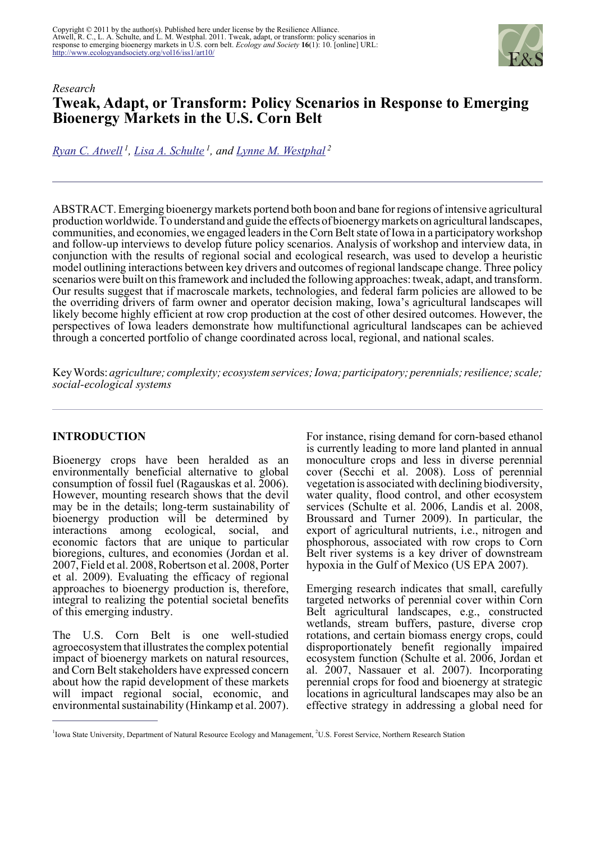

# *Research* **Tweak, Adapt, or Transform: Policy Scenarios in Response to Emerging Bioenergy Markets in the U.S. Corn Belt**

*Ryan C. Atwell<sup>1</sup> , Lisa A. Schulte<sup>1</sup>, and Lynne M. Westphal<sup>2</sup>*

ABSTRACT. Emerging bioenergy markets portend both boon and bane for regions of intensive agricultural production worldwide. To understand and guide the effects of bioenergy markets on agricultural landscapes, communities, and economies, we engaged leaders in the Corn Belt state of Iowa in a participatory workshop and follow-up interviews to develop future policy scenarios. Analysis of workshop and interview data, in conjunction with the results of regional social and ecological research, was used to develop a heuristic model outlining interactions between key drivers and outcomes of regional landscape change. Three policy scenarios were built on this framework and included the following approaches: tweak, adapt, and transform. Our results suggest that if macroscale markets, technologies, and federal farm policies are allowed to be the overriding drivers of farm owner and operator decision making, Iowa's agricultural landscapes will likely become highly efficient at row crop production at the cost of other desired outcomes. However, the perspectives of Iowa leaders demonstrate how multifunctional agricultural landscapes can be achieved through a concerted portfolio of change coordinated across local, regional, and national scales.

Key Words: *agriculture; complexity; ecosystem services; Iowa; participatory; perennials; resilience; scale; social-ecological systems*

## **INTRODUCTION**

Bioenergy crops have been heralded as an environmentally beneficial alternative to global consumption of fossil fuel (Ragauskas et al. 2006). However, mounting research shows that the devil may be in the details; long-term sustainability of bioenergy production will be determined by interactions among ecological, social, and among ecological, social, and economic factors that are unique to particular bioregions, cultures, and economies (Jordan et al. 2007, Field et al. 2008, Robertson et al. 2008, Porter et al. 2009). Evaluating the efficacy of regional approaches to bioenergy production is, therefore, integral to realizing the potential societal benefits of this emerging industry.

The U.S. Corn Belt is one well-studied agroecosystem that illustrates the complex potential impact of bioenergy markets on natural resources, and Corn Belt stakeholders have expressed concern about how the rapid development of these markets will impact regional social, economic, and environmental sustainability (Hinkamp et al. 2007). For instance, rising demand for corn-based ethanol is currently leading to more land planted in annual monoculture crops and less in diverse perennial cover (Secchi et al. 2008). Loss of perennial vegetation is associated with declining biodiversity, water quality, flood control, and other ecosystem services (Schulte et al. 2006, Landis et al. 2008, Broussard and Turner 2009). In particular, the export of agricultural nutrients, i.e., nitrogen and phosphorous, associated with row crops to Corn Belt river systems is a key driver of downstream hypoxia in the Gulf of Mexico (US EPA 2007).

Emerging research indicates that small, carefully targeted networks of perennial cover within Corn Belt agricultural landscapes, e.g., constructed wetlands, stream buffers, pasture, diverse crop rotations, and certain biomass energy crops, could disproportionately benefit regionally impaired ecosystem function (Schulte et al. 2006, Jordan et al. 2007, Nassauer et al. 2007). Incorporating perennial crops for food and bioenergy at strategic locations in agricultural landscapes may also be an effective strategy in addressing a global need for

<sup>&</sup>lt;sup>1</sup> Iowa State University, Department of Natural Resource Ecology and Management, <sup>2</sup>U.S. Forest Service, Northern Research Station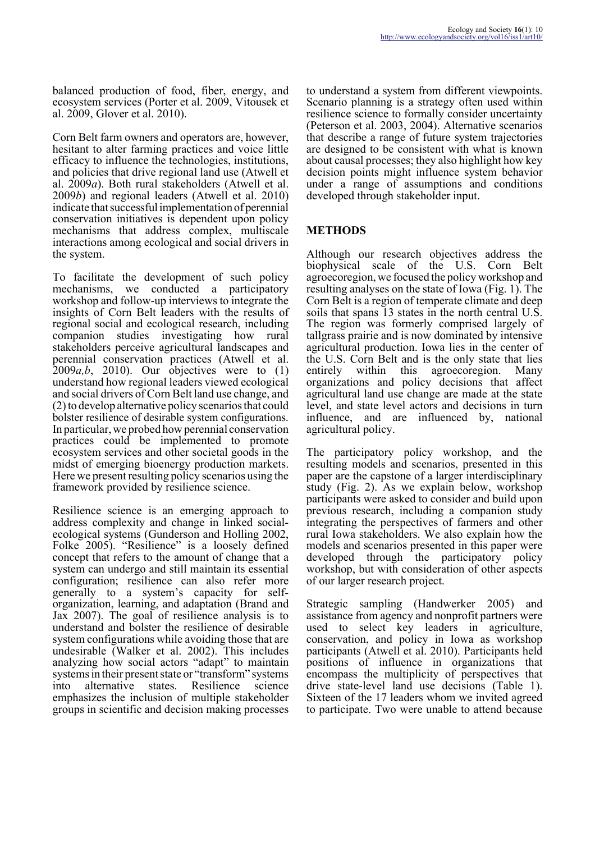balanced production of food, fiber, energy, and ecosystem services (Porter et al. 2009, Vitousek et al. 2009, Glover et al. 2010).

Corn Belt farm owners and operators are, however, hesitant to alter farming practices and voice little efficacy to influence the technologies, institutions, and policies that drive regional land use (Atwell et al. 2009*a*). Both rural stakeholders (Atwell et al. 2009*b*) and regional leaders (Atwell et al. 2010) indicate that successful implementation of perennial conservation initiatives is dependent upon policy mechanisms that address complex, multiscale interactions among ecological and social drivers in the system.

To facilitate the development of such policy mechanisms, we conducted a participatory workshop and follow-up interviews to integrate the insights of Corn Belt leaders with the results of regional social and ecological research, including companion studies investigating how rural stakeholders perceive agricultural landscapes and perennial conservation practices (Atwell et al.  $2009a, b$ , 2010). Our objectives were to  $(1)$ understand how regional leaders viewed ecological and social drivers of Corn Belt land use change, and (2) to develop alternative policy scenarios that could bolster resilience of desirable system configurations. In particular, we probed how perennial conservation practices could be implemented to promote ecosystem services and other societal goods in the midst of emerging bioenergy production markets. Here we present resulting policy scenarios using the framework provided by resilience science.

Resilience science is an emerging approach to address complexity and change in linked socialecological systems (Gunderson and Holling 2002, Folke 2005). "Resilience" is a loosely defined concept that refers to the amount of change that a system can undergo and still maintain its essential configuration; resilience can also refer more generally to a system's capacity for selforganization, learning, and adaptation (Brand and Jax 2007). The goal of resilience analysis is to understand and bolster the resilience of desirable system configurations while avoiding those that are undesirable (Walker et al. 2002). This includes analyzing how social actors "adapt" to maintain systems in their present state or "transform" systems into alternative states. Resilience science emphasizes the inclusion of multiple stakeholder groups in scientific and decision making processes

to understand a system from different viewpoints. Scenario planning is a strategy often used within resilience science to formally consider uncertainty (Peterson et al. 2003, 2004). Alternative scenarios that describe a range of future system trajectories are designed to be consistent with what is known about causal processes; they also highlight how key decision points might influence system behavior under a range of assumptions and conditions developed through stakeholder input.

## **METHODS**

Although our research objectives address the biophysical scale of the U.S. Corn Belt agroecoregion, we focused the policy workshop and resulting analyses on the state of Iowa (Fig. 1). The Corn Belt is a region of temperate climate and deep soils that spans 13 states in the north central U.S. The region was formerly comprised largely of tallgrass prairie and is now dominated by intensive agricultural production. Iowa lies in the center of the U.S. Corn Belt and is the only state that lies<br>entirely within this agroecoregion. Many entirely within this agroecoregion. Many organizations and policy decisions that affect agricultural land use change are made at the state level, and state level actors and decisions in turn influence, and are influenced by, national agricultural policy.

The participatory policy workshop, and the resulting models and scenarios, presented in this paper are the capstone of a larger interdisciplinary study (Fig. 2). As we explain below, workshop participants were asked to consider and build upon previous research, including a companion study integrating the perspectives of farmers and other rural Iowa stakeholders. We also explain how the models and scenarios presented in this paper were developed through the participatory policy workshop, but with consideration of other aspects of our larger research project.

Strategic sampling (Handwerker 2005) and assistance from agency and nonprofit partners were used to select key leaders in agriculture, conservation, and policy in Iowa as workshop participants (Atwell et al. 2010). Participants held positions of influence in organizations that encompass the multiplicity of perspectives that drive state-level land use decisions (Table 1). Sixteen of the 17 leaders whom we invited agreed to participate. Two were unable to attend because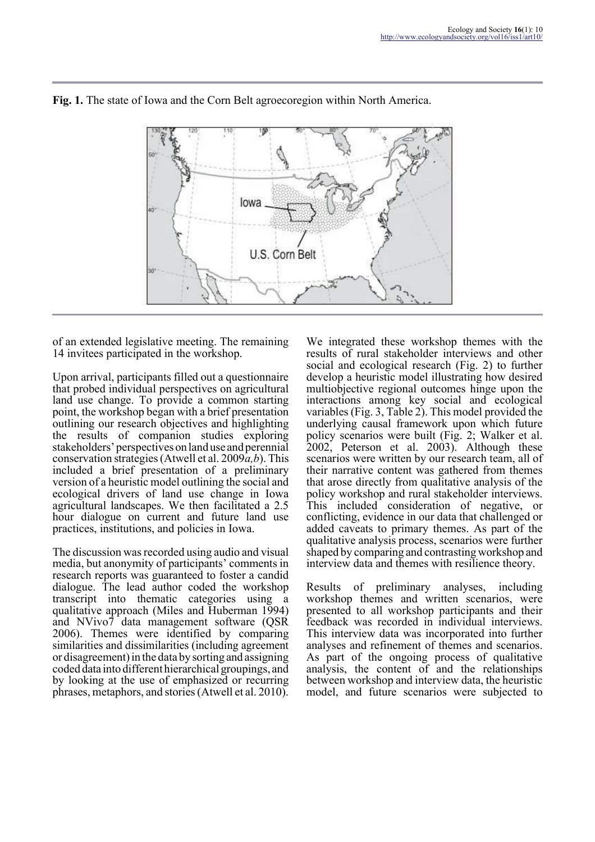

#### **Fig. 1.** The state of Iowa and the Corn Belt agroecoregion within North America.

of an extended legislative meeting. The remaining 14 invitees participated in the workshop.

Upon arrival, participants filled out a questionnaire that probed individual perspectives on agricultural land use change. To provide a common starting point, the workshop began with a brief presentation outlining our research objectives and highlighting the results of companion studies exploring stakeholders' perspectives on land use and perennial conservation strategies (Atwell et al. 2009*a,b*). This included a brief presentation of a preliminary version of a heuristic model outlining the social and ecological drivers of land use change in Iowa agricultural landscapes. We then facilitated a 2.5 hour dialogue on current and future land use practices, institutions, and policies in Iowa.

The discussion was recorded using audio and visual media, but anonymity of participants' comments in research reports was guaranteed to foster a candid dialogue. The lead author coded the workshop transcript into thematic categories using a qualitative approach (Miles and Huberman 1994) and NVivo7 data management software (QSR 2006). Themes were identified by comparing similarities and dissimilarities (including agreement or disagreement) in the data by sorting and assigning coded data into different hierarchical groupings, and by looking at the use of emphasized or recurring phrases, metaphors, and stories (Atwell et al. 2010).

We integrated these workshop themes with the results of rural stakeholder interviews and other social and ecological research (Fig. 2) to further develop a heuristic model illustrating how desired multiobjective regional outcomes hinge upon the interactions among key social and ecological variables (Fig. 3, Table 2). This model provided the underlying causal framework upon which future policy scenarios were built (Fig. 2; Walker et al. 2002, Peterson et al. 2003). Although these scenarios were written by our research team, all of their narrative content was gathered from themes that arose directly from qualitative analysis of the policy workshop and rural stakeholder interviews. This included consideration of negative, or conflicting, evidence in our data that challenged or added caveats to primary themes. As part of the qualitative analysis process, scenarios were further shaped by comparing and contrasting workshop and interview data and themes with resilience theory.

Results of preliminary analyses, including workshop themes and written scenarios, were presented to all workshop participants and their feedback was recorded in individual interviews. This interview data was incorporated into further analyses and refinement of themes and scenarios. As part of the ongoing process of qualitative analysis, the content of and the relationships between workshop and interview data, the heuristic model, and future scenarios were subjected to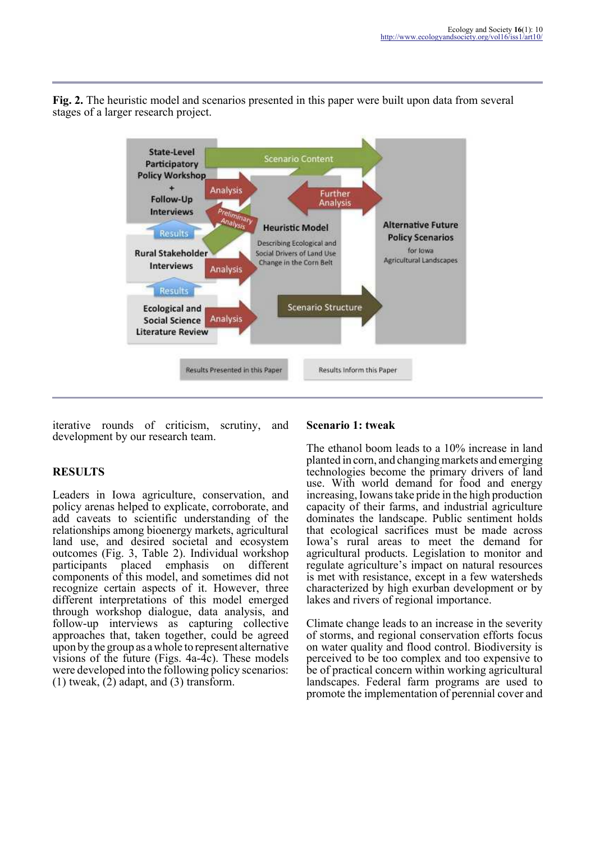**Fig. 2.** The heuristic model and scenarios presented in this paper were built upon data from several stages of a larger research project.



iterative rounds of criticism, scrutiny, and development by our research team.

# **RESULTS**

Leaders in Iowa agriculture, conservation, and policy arenas helped to explicate, corroborate, and add caveats to scientific understanding of the relationships among bioenergy markets, agricultural land use, and desired societal and ecosystem outcomes (Fig. 3, Table 2). Individual workshop<br>participants placed emphasis on different participants placed emphasis on different components of this model, and sometimes did not recognize certain aspects of it. However, three different interpretations of this model emerged through workshop dialogue, data analysis, and follow-up interviews as capturing collective approaches that, taken together, could be agreed upon by the group as a whole to represent alternative visions of the future (Figs. 4a-4c). These models were developed into the following policy scenarios: (1) tweak, (2) adapt, and (3) transform.

## **Scenario 1: tweak**

The ethanol boom leads to a 10% increase in land planted in corn, and changing markets and emerging technologies become the primary drivers of land use. With world demand for food and energy increasing, Iowans take pride in the high production capacity of their farms, and industrial agriculture dominates the landscape. Public sentiment holds that ecological sacrifices must be made across Iowa's rural areas to meet the demand for agricultural products. Legislation to monitor and regulate agriculture's impact on natural resources is met with resistance, except in a few watersheds characterized by high exurban development or by lakes and rivers of regional importance.

Climate change leads to an increase in the severity of storms, and regional conservation efforts focus on water quality and flood control. Biodiversity is perceived to be too complex and too expensive to be of practical concern within working agricultural landscapes. Federal farm programs are used to promote the implementation of perennial cover and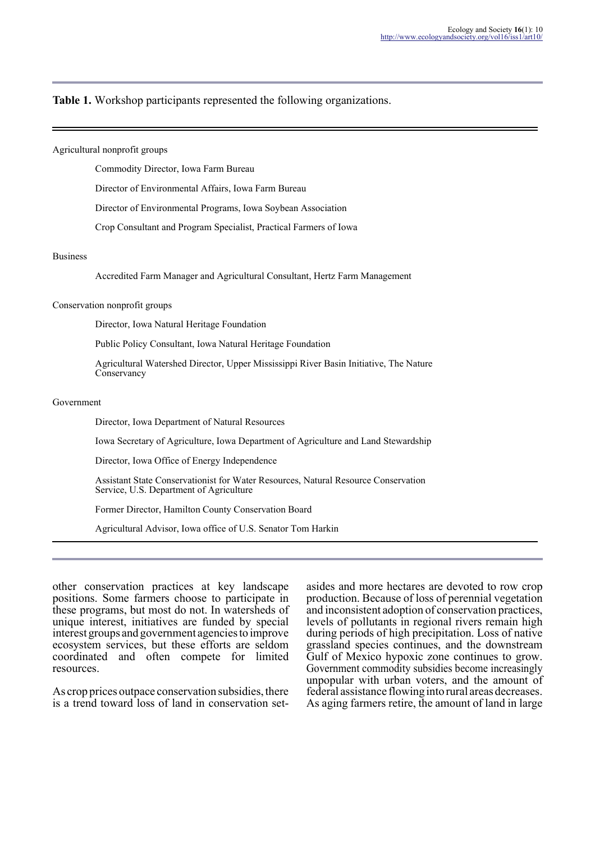**Table 1.** Workshop participants represented the following organizations.

Agricultural nonprofit groups

Commodity Director, Iowa Farm Bureau

Director of Environmental Affairs, Iowa Farm Bureau

Director of Environmental Programs, Iowa Soybean Association

Crop Consultant and Program Specialist, Practical Farmers of Iowa

#### Business

Accredited Farm Manager and Agricultural Consultant, Hertz Farm Management

Conservation nonprofit groups

Director, Iowa Natural Heritage Foundation

Public Policy Consultant, Iowa Natural Heritage Foundation

Agricultural Watershed Director, Upper Mississippi River Basin Initiative, The Nature **Conservancy** 

#### Government

Director, Iowa Department of Natural Resources

Iowa Secretary of Agriculture, Iowa Department of Agriculture and Land Stewardship

Director, Iowa Office of Energy Independence

Assistant State Conservationist for Water Resources, Natural Resource Conservation Service, U.S. Department of Agriculture

Former Director, Hamilton County Conservation Board

Agricultural Advisor, Iowa office of U.S. Senator Tom Harkin

other conservation practices at key landscape positions. Some farmers choose to participate in these programs, but most do not. In watersheds of unique interest, initiatives are funded by special interest groups and government agencies to improve ecosystem services, but these efforts are seldom coordinated and often compete for limited resources.

As crop prices outpace conservation subsidies, there is a trend toward loss of land in conservation setasides and more hectares are devoted to row crop production. Because of loss of perennial vegetation and inconsistent adoption of conservation practices, levels of pollutants in regional rivers remain high during periods of high precipitation. Loss of native grassland species continues, and the downstream Gulf of Mexico hypoxic zone continues to grow. Government commodity subsidies become increasingly unpopular with urban voters, and the amount of federal assistance flowing into rural areas decreases. As aging farmers retire, the amount of land in large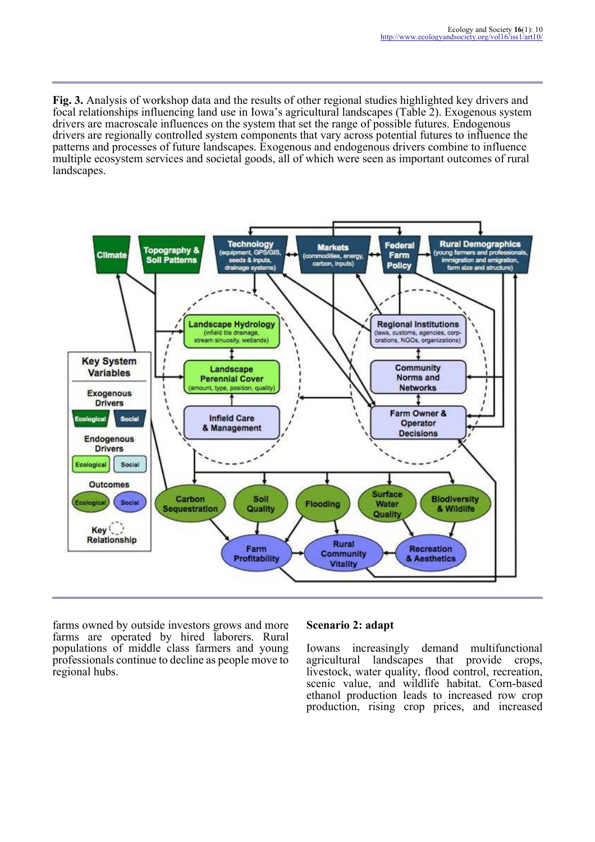**Fig. 3.** Analysis of workshop data and the results of other regional studies highlighted key drivers and focal relationships influencing land use in Iowa's agricultural landscapes (Table 2). Exogenous system drivers are macroscale influences on the system that set the range of possible futures. Endogenous drivers are regionally controlled system components that vary across potential futures to influence the patterns and processes of future landscapes. Exogenous and endogenous drivers combine to influence multiple ecosystem services and societal goods, all of which were seen as important outcomes of rural landscapes.



farms owned by outside investors grows and more farms are operated by hired laborers. Rural populations of middle class farmers and young professionals continue to decline as people move to regional hubs.

## **Scenario 2: adapt**

Iowans increasingly demand multifunctional agricultural landscapes that provide crops, livestock, water quality, flood control, recreation, scenic value, and wildlife habitat. Corn-based ethanol production leads to increased row crop production, rising crop prices, and increased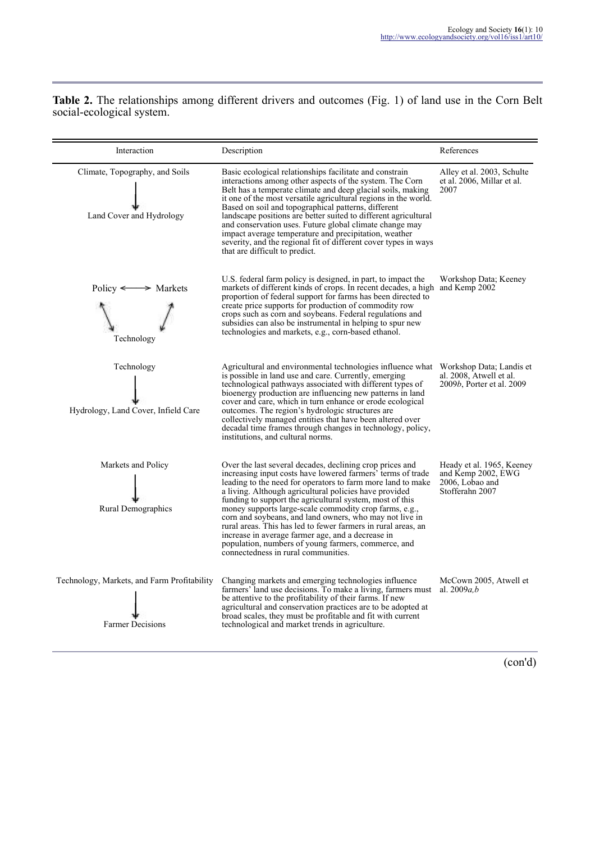#### **Table 2.** The relationships among different drivers and outcomes (Fig. 1) of land use in the Corn Belt social-ecological system.

| Interaction                                                            | Description                                                                                                                                                                                                                                                                                                                                                                                                                                                                                                                                                                                                                                           | References                                                                                |
|------------------------------------------------------------------------|-------------------------------------------------------------------------------------------------------------------------------------------------------------------------------------------------------------------------------------------------------------------------------------------------------------------------------------------------------------------------------------------------------------------------------------------------------------------------------------------------------------------------------------------------------------------------------------------------------------------------------------------------------|-------------------------------------------------------------------------------------------|
| Climate, Topography, and Soils<br>Land Cover and Hydrology             | Basic ecological relationships facilitate and constrain<br>interactions among other aspects of the system. The Corn<br>Belt has a temperate climate and deep glacial soils, making<br>it one of the most versatile agricultural regions in the world.<br>Based on soil and topographical patterns, different<br>landscape positions are better suited to different agricultural<br>and conservation uses. Future global climate change may<br>impact average temperature and precipitation, weather<br>severity, and the regional fit of different cover types in ways<br>that are difficult to predict.                                              | Alley et al. 2003, Schulte<br>et al. 2006, Millar et al.<br>2007                          |
| Policy $\leftarrow \rightarrow$ Markets<br>Technology                  | U.S. federal farm policy is designed, in part, to impact the<br>markets of different kinds of crops. In recent decades, a high and Kemp 2002<br>proportion of federal support for farms has been directed to<br>create price supports for production of commodity row<br>crops such as corn and soybeans. Federal regulations and<br>subsidies can also be instrumental in helping to spur new<br>technologies and markets, e.g., corn-based ethanol.                                                                                                                                                                                                 | Workshop Data; Keeney                                                                     |
| Technology<br>Hydrology, Land Cover, Infield Care                      | Agricultural and environmental technologies influence what<br>is possible in land use and care. Currently, emerging<br>technological pathways associated with different types of<br>bioenergy production are influencing new patterns in land<br>cover and care, which in turn enhance or erode ecological<br>outcomes. The region's hydrologic structures are<br>collectively managed entities that have been altered over<br>decadal time frames through changes in technology, policy,<br>institutions, and cultural norms.                                                                                                                        | Workshop Data; Landis et<br>al. 2008, Atwell et al.<br>2009 <i>b</i> , Porter et al. 2009 |
| Markets and Policy<br><b>Rural Demographics</b>                        | Over the last several decades, declining crop prices and<br>increasing input costs have lowered farmers' terms of trade<br>leading to the need for operators to farm more land to make<br>a living. Although agricultural policies have provided<br>funding to support the agricultural system, most of this<br>money supports large-scale commodity crop farms, e.g.,<br>corn and soybeans, and land owners, who may not live in<br>rural areas. This has led to fewer farmers in rural areas, an<br>increase in average farmer age, and a decrease in<br>population, numbers of young farmers, commerce, and<br>connectedness in rural communities. | Heady et al. 1965, Keeney<br>and Kemp 2002, EWG<br>2006, Lobao and<br>Stofferahn 2007     |
| Technology, Markets, and Farm Profitability<br><b>Farmer Decisions</b> | Changing markets and emerging technologies influence<br>farmers' land use decisions. To make a living, farmers must<br>be attentive to the profitability of their farms. If new<br>agricultural and conservation practices are to be adopted at<br>broad scales, they must be profitable and fit with current<br>technological and market trends in agriculture.                                                                                                                                                                                                                                                                                      | McCown 2005, Atwell et<br>al. $2009a,b$                                                   |

(con'd)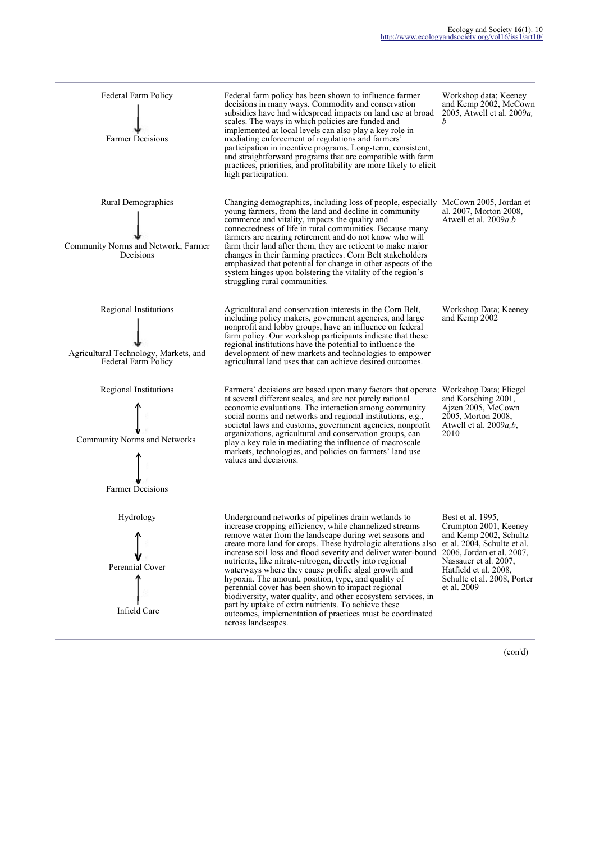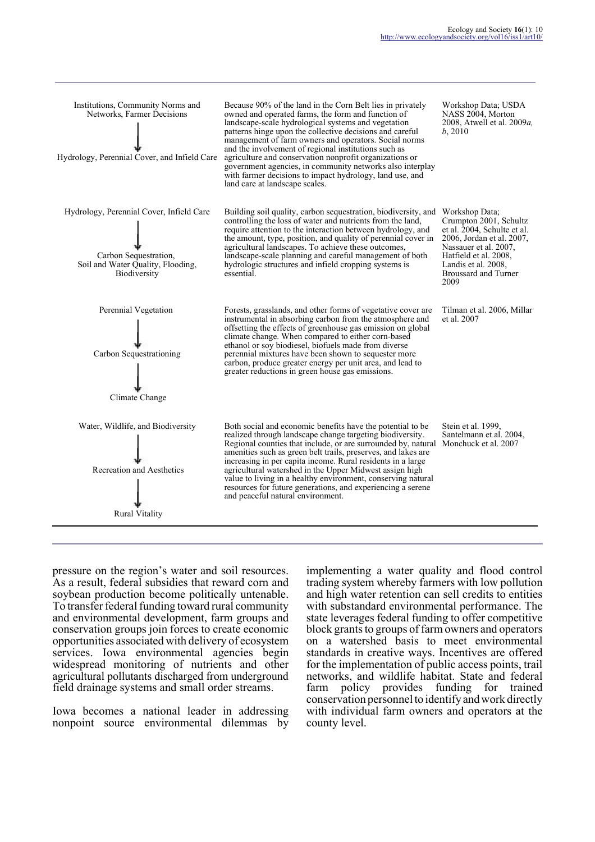

pressure on the region's water and soil resources. As a result, federal subsidies that reward corn and soybean production become politically untenable. To transfer federal funding toward rural community and environmental development, farm groups and conservation groups join forces to create economic opportunities associated with delivery of ecosystem services. Iowa environmental agencies begin widespread monitoring of nutrients and other agricultural pollutants discharged from underground field drainage systems and small order streams.

Iowa becomes a national leader in addressing nonpoint source environmental dilemmas by implementing a water quality and flood control trading system whereby farmers with low pollution and high water retention can sell credits to entities with substandard environmental performance. The state leverages federal funding to offer competitive block grants to groups of farm owners and operators on a watershed basis to meet environmental standards in creative ways. Incentives are offered for the implementation of public access points, trail networks, and wildlife habitat. State and federal farm policy provides funding for trained conservation personnel to identify and work directly with individual farm owners and operators at the county level.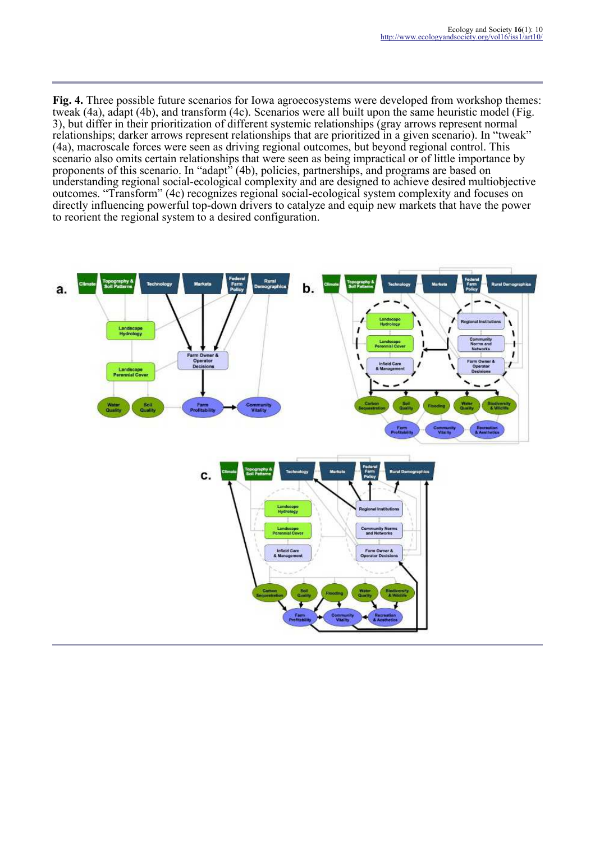**Fig. 4.** Three possible future scenarios for Iowa agroecosystems were developed from workshop themes: tweak (4a), adapt (4b), and transform (4c). Scenarios were all built upon the same heuristic model (Fig. 3), but differ in their prioritization of different systemic relationships (gray arrows represent normal relationships; darker arrows represent relationships that are prioritized in a given scenario). In "tweak" (4a), macroscale forces were seen as driving regional outcomes, but beyond regional control. This scenario also omits certain relationships that were seen as being impractical or of little importance by proponents of this scenario. In "adapt" (4b), policies, partnerships, and programs are based on understanding regional social-ecological complexity and are designed to achieve desired multiobjective outcomes. "Transform" (4c) recognizes regional social-ecological system complexity and focuses on directly influencing powerful top-down drivers to catalyze and equip new markets that have the power to reorient the regional system to a desired configuration.

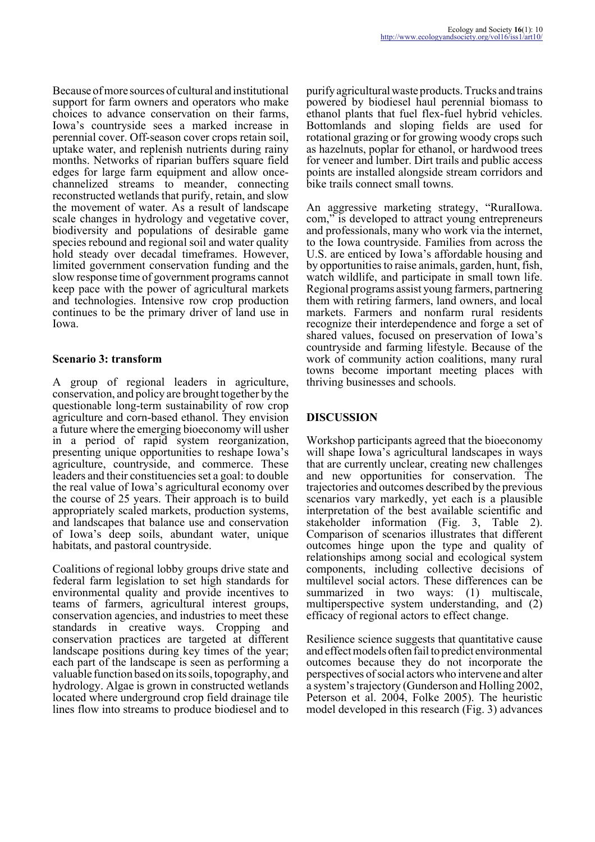Because of more sources of cultural and institutional support for farm owners and operators who make choices to advance conservation on their farms, Iowa's countryside sees a marked increase in perennial cover. Off-season cover crops retain soil, uptake water, and replenish nutrients during rainy months. Networks of riparian buffers square field edges for large farm equipment and allow oncechannelized streams to meander, connecting reconstructed wetlands that purify, retain, and slow the movement of water. As a result of landscape scale changes in hydrology and vegetative cover, biodiversity and populations of desirable game species rebound and regional soil and water quality hold steady over decadal timeframes. However, limited government conservation funding and the slow response time of government programs cannot keep pace with the power of agricultural markets and technologies. Intensive row crop production continues to be the primary driver of land use in Iowa.

## **Scenario 3: transform**

A group of regional leaders in agriculture, conservation, and policy are brought together by the questionable long-term sustainability of row crop agriculture and corn-based ethanol. They envision a future where the emerging bioeconomy will usher in a period of rapid system reorganization, presenting unique opportunities to reshape Iowa's agriculture, countryside, and commerce. These leaders and their constituencies set a goal: to double the real value of Iowa's agricultural economy over the course of 25 years. Their approach is to build appropriately scaled markets, production systems, and landscapes that balance use and conservation of Iowa's deep soils, abundant water, unique habitats, and pastoral countryside.

Coalitions of regional lobby groups drive state and federal farm legislation to set high standards for environmental quality and provide incentives to teams of farmers, agricultural interest groups, conservation agencies, and industries to meet these standards in creative ways. Cropping and conservation practices are targeted at different landscape positions during key times of the year; each part of the landscape is seen as performing a valuable function based on its soils, topography, and hydrology. Algae is grown in constructed wetlands located where underground crop field drainage tile lines flow into streams to produce biodiesel and to purify agricultural waste products. Trucks and trains powered by biodiesel haul perennial biomass to ethanol plants that fuel flex-fuel hybrid vehicles. Bottomlands and sloping fields are used for rotational grazing or for growing woody crops such as hazelnuts, poplar for ethanol, or hardwood trees for veneer and lumber. Dirt trails and public access points are installed alongside stream corridors and bike trails connect small towns.

An aggressive marketing strategy, "RuralIowa. com," is developed to attract young entrepreneurs and professionals, many who work via the internet, to the Iowa countryside. Families from across the U.S. are enticed by Iowa's affordable housing and by opportunities to raise animals, garden, hunt, fish, watch wildlife, and participate in small town life. Regional programs assist young farmers, partnering them with retiring farmers, land owners, and local markets. Farmers and nonfarm rural residents recognize their interdependence and forge a set of shared values, focused on preservation of Iowa's countryside and farming lifestyle. Because of the work of community action coalitions, many rural towns become important meeting places with thriving businesses and schools.

# **DISCUSSION**

Workshop participants agreed that the bioeconomy will shape Iowa's agricultural landscapes in ways that are currently unclear, creating new challenges and new opportunities for conservation. The trajectories and outcomes described by the previous scenarios vary markedly, yet each is a plausible interpretation of the best available scientific and stakeholder information (Fig. 3, Table 2). Comparison of scenarios illustrates that different outcomes hinge upon the type and quality of relationships among social and ecological system components, including collective decisions of multilevel social actors. These differences can be summarized in two ways: (1) multiscale, multiperspective system understanding, and (2) efficacy of regional actors to effect change.

Resilience science suggests that quantitative cause and effect models often fail to predict environmental outcomes because they do not incorporate the perspectives of social actors who intervene and alter a system's trajectory (Gunderson and Holling 2002, Peterson et al. 2004, Folke 2005). The heuristic model developed in this research (Fig. 3) advances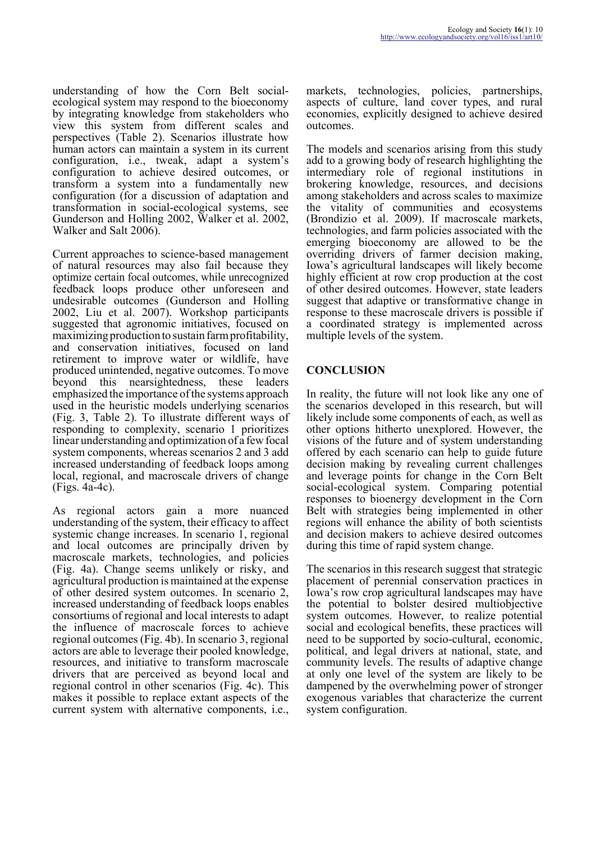understanding of how the Corn Belt socialecological system may respond to the bioeconomy by integrating knowledge from stakeholders who view this system from different scales and perspectives (Table 2). Scenarios illustrate how human actors can maintain a system in its current configuration, i.e., tweak, adapt a system's configuration to achieve desired outcomes, or transform a system into a fundamentally new configuration (for a discussion of adaptation and transformation in social-ecological systems, see Gunderson and Holling 2002, Walker et al. 2002, Walker and Salt 2006).

Current approaches to science-based management of natural resources may also fail because they optimize certain focal outcomes, while unrecognized feedback loops produce other unforeseen and undesirable outcomes (Gunderson and Holling 2002, Liu et al. 2007). Workshop participants suggested that agronomic initiatives, focused on maximizing production to sustain farm profitability, and conservation initiatives, focused on land retirement to improve water or wildlife, have produced unintended, negative outcomes. To move beyond this nearsightedness, these leaders emphasized the importance of the systems approach used in the heuristic models underlying scenarios (Fig. 3, Table 2). To illustrate different ways of responding to complexity, scenario 1 prioritizes linear understanding and optimization of a few focal system components, whereas scenarios 2 and 3 add increased understanding of feedback loops among local, regional, and macroscale drivers of change (Figs. 4a-4c).

As regional actors gain a more nuanced understanding of the system, their efficacy to affect systemic change increases. In scenario 1, regional and local outcomes are principally driven by macroscale markets, technologies, and policies (Fig. 4a). Change seems unlikely or risky, and agricultural production is maintained at the expense of other desired system outcomes. In scenario 2, increased understanding of feedback loops enables consortiums of regional and local interests to adapt the influence of macroscale forces to achieve regional outcomes (Fig. 4b). In scenario 3, regional actors are able to leverage their pooled knowledge, resources, and initiative to transform macroscale drivers that are perceived as beyond local and regional control in other scenarios (Fig. 4c). This makes it possible to replace extant aspects of the current system with alternative components, i.e.,

markets, technologies, policies, partnerships, aspects of culture, land cover types, and rural economies, explicitly designed to achieve desired outcomes.

The models and scenarios arising from this study add to a growing body of research highlighting the intermediary role of regional institutions in brokering knowledge, resources, and decisions among stakeholders and across scales to maximize the vitality of communities and ecosystems (Brondizio et al. 2009). If macroscale markets, technologies, and farm policies associated with the emerging bioeconomy are allowed to be the overriding drivers of farmer decision making, Iowa's agricultural landscapes will likely become highly efficient at row crop production at the cost of other desired outcomes. However, state leaders suggest that adaptive or transformative change in response to these macroscale drivers is possible if a coordinated strategy is implemented across multiple levels of the system.

## **CONCLUSION**

In reality, the future will not look like any one of the scenarios developed in this research, but will likely include some components of each, as well as other options hitherto unexplored. However, the visions of the future and of system understanding offered by each scenario can help to guide future decision making by revealing current challenges and leverage points for change in the Corn Belt social-ecological system. Comparing potential responses to bioenergy development in the Corn Belt with strategies being implemented in other regions will enhance the ability of both scientists and decision makers to achieve desired outcomes during this time of rapid system change.

The scenarios in this research suggest that strategic placement of perennial conservation practices in Iowa's row crop agricultural landscapes may have the potential to bolster desired multiobjective system outcomes. However, to realize potential social and ecological benefits, these practices will need to be supported by socio-cultural, economic, political, and legal drivers at national, state, and community levels. The results of adaptive change at only one level of the system are likely to be dampened by the overwhelming power of stronger exogenous variables that characterize the current system configuration.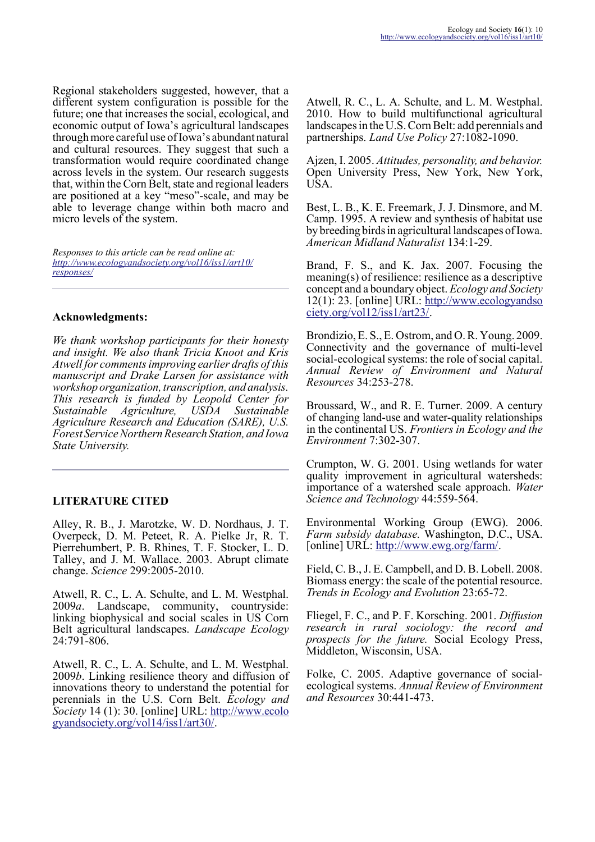Regional stakeholders suggested, however, that a different system configuration is possible for the future; one that increases the social, ecological, and economic output of Iowa's agricultural landscapes through more careful use of Iowa's abundant natural and cultural resources. They suggest that such a transformation would require coordinated change across levels in the system. Our research suggests that, within the Corn Belt, state and regional leaders are positioned at a key "meso"-scale, and may be able to leverage change within both macro and micro levels of the system.

*Responses to this article can be read online at: http://www.ecologyandsociety.org/vol16/iss1/art10/ responses/*

#### **Acknowledgments:**

*We thank workshop participants for their honesty and insight. We also thank Tricia Knoot and Kris Atwell for comments improving earlier drafts of this manuscript and Drake Larsen for assistance with workshop organization, transcription, and analysis. This research is funded by Leopold Center for Sustainable Agriculture, USDA Sustainable Agriculture Research and Education (SARE), U.S. Forest Service Northern Research Station, and Iowa State University.*

#### **LITERATURE CITED**

Alley, R. B., J. Marotzke, W. D. Nordhaus, J. T. Overpeck, D. M. Peteet, R. A. Pielke Jr, R. T. Pierrehumbert, P. B. Rhines, T. F. Stocker, L. D. Talley, and J. M. Wallace. 2003. Abrupt climate change. *Science* 299:2005-2010.

Atwell, R. C., L. A. Schulte, and L. M. Westphal. 2009*a*. Landscape, community, countryside: linking biophysical and social scales in US Corn Belt agricultural landscapes. *Landscape Ecology* 24:791-806.

Atwell, R. C., L. A. Schulte, and L. M. Westphal. 2009*b*. Linking resilience theory and diffusion of innovations theory to understand the potential for perennials in the U.S. Corn Belt. *Ecology and Society* 14 (1): 30. [online] URL: http://www.ecolo gyandsociety.org/vol14/iss1/art30/.

Atwell, R. C., L. A. Schulte, and L. M. Westphal. 2010. How to build multifunctional agricultural landscapes in the U.S. Corn Belt: add perennials and partnerships. *Land Use Policy* 27:1082-1090.

Ajzen, I. 2005. *Attitudes, personality, and behavior.* Open University Press, New York, New York, USA.

Best, L. B., K. E. Freemark, J. J. Dinsmore, and M. Camp. 1995. A review and synthesis of habitat use by breeding birds in agricultural landscapes of Iowa. *American Midland Naturalist* 134:1-29.

Brand, F. S., and K. Jax. 2007. Focusing the meaning(s) of resilience: resilience as a descriptive concept and a boundary object. *Ecology and Society* 12(1): 23. [online] URL: http://www.ecologyandso ciety.org/vol12/iss1/art23/.

Brondizio, E. S., E. Ostrom, and O. R. Young. 2009. Connectivity and the governance of multi-level social-ecological systems: the role of social capital. *Annual Review of Environment and Natural Resources* 34:253-278.

Broussard, W., and R. E. Turner. 2009. A century of changing land-use and water-quality relationships in the continental US. *Frontiers in Ecology and the Environment* 7:302-307.

Crumpton, W. G. 2001. Using wetlands for water quality improvement in agricultural watersheds: importance of a watershed scale approach. *Water Science and Technology* 44:559-564.

Environmental Working Group (EWG). 2006. *Farm subsidy database.* Washington, D.C., USA. [online] URL: http://www.ewg.org/farm/.

Field, C. B., J. E. Campbell, and D. B. Lobell. 2008. Biomass energy: the scale of the potential resource. *Trends in Ecology and Evolution* 23:65-72.

Fliegel, F. C., and P. F. Korsching. 2001. *Diffusion research in rural sociology: the record and prospects for the future.* Social Ecology Press, Middleton, Wisconsin, USA.

Folke, C. 2005. Adaptive governance of socialecological systems. *Annual Review of Environment and Resources* 30:441-473.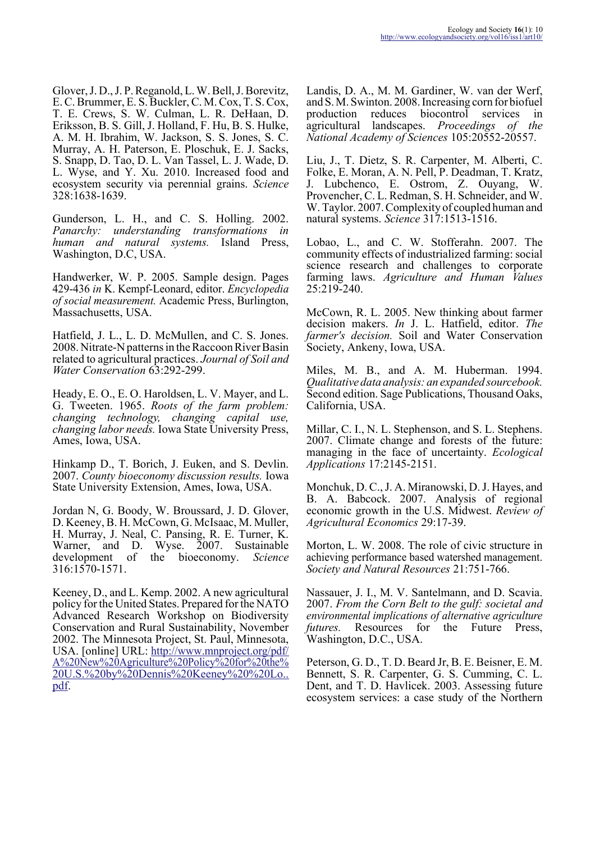Glover, J. D., J. P. Reganold, L. W. Bell, J. Borevitz, E. C. Brummer, E. S. Buckler, C. M. Cox, T. S. Cox, T. E. Crews, S. W. Culman, L. R. DeHaan, D. Eriksson, B. S. Gill, J. Holland, F. Hu, B. S. Hulke, A. M. H. Ibrahim, W. Jackson, S. S. Jones, S. C. Murray, A. H. Paterson, E. Ploschuk, E. J. Sacks, S. Snapp, D. Tao, D. L. Van Tassel, L. J. Wade, D. L. Wyse, and Y. Xu. 2010. Increased food and ecosystem security via perennial grains. *Science* 328:1638-1639.

Gunderson, L. H., and C. S. Holling. 2002. *Panarchy: understanding transformations in human and natural systems.* Island Press, Washington, D.C, USA.

Handwerker, W. P. 2005. Sample design. Pages 429-436 *in* K. Kempf-Leonard, editor. *Encyclopedia of social measurement.* Academic Press, Burlington, Massachusetts, USA.

Hatfield, J. L., L. D. McMullen, and C. S. Jones. 2008. Nitrate-N patterns in the Raccoon River Basin related to agricultural practices. *Journal of Soil and Water Conservation* 63:292-299.

Heady, E. O., E. O. Haroldsen, L. V. Mayer, and L. G. Tweeten. 1965. *Roots of the farm problem: changing technology, changing capital use, changing labor needs.* Iowa State University Press, Ames, Iowa, USA.

Hinkamp D., T. Borich, J. Euken, and S. Devlin. 2007. *County bioeconomy discussion results.* Iowa State University Extension, Ames, Iowa, USA.

Jordan N, G. Boody, W. Broussard, J. D. Glover, D. Keeney, B. H. McCown, G. McIsaac, M. Muller, H. Murray, J. Neal, C. Pansing, R. E. Turner, K. Warner, and D. Wyse. 2007. Sustainable development of the bioeconomy. *Science* 316:1570-1571.

Keeney, D., and L. Kemp. 2002. A new agricultural policy for the United States. Prepared for the NATO Advanced Research Workshop on Biodiversity Conservation and Rural Sustainability, November 2002. The Minnesota Project, St. Paul, Minnesota, USA. [online] URL: http://www.mnproject.org/pdf/ A%20New%20Agriculture%20Policy%20for%20the% 20U.S.%20by%20Dennis%20Keeney%20%20Lo.. pdf.

Landis, D. A., M. M. Gardiner, W. van der Werf, and S. M. Swinton. 2008. Increasing corn for biofuel production reduces biocontrol services in agricultural landscapes. *Proceedings of the National Academy of Sciences* 105:20552-20557.

Liu, J., T. Dietz, S. R. Carpenter, M. Alberti, C. Folke, E. Moran, A. N. Pell, P. Deadman, T. Kratz, J. Lubchenco, E. Ostrom, Z. Ouyang, W. Provencher, C. L. Redman, S. H. Schneider, and W. W. Taylor. 2007. Complexity of coupled human and natural systems. *Science* 317:1513-1516.

Lobao, L., and C. W. Stofferahn. 2007. The community effects of industrialized farming: social science research and challenges to corporate farming laws. *Agriculture and Human Values* 25:219-240.

McCown, R. L. 2005. New thinking about farmer decision makers. *In* J. L. Hatfield, editor. *The farmer's decision.* Soil and Water Conservation Society, Ankeny, Iowa, USA.

Miles, M. B., and A. M. Huberman. 1994. *Qualitative data analysis: an expanded sourcebook.* Second edition. Sage Publications, Thousand Oaks, California, USA.

Millar, C. I., N. L. Stephenson, and S. L. Stephens. 2007. Climate change and forests of the future: managing in the face of uncertainty. *Ecological Applications* 17:2145-2151.

Monchuk, D. C., J. A. Miranowski, D. J. Hayes, and B. A. Babcock. 2007. Analysis of regional economic growth in the U.S. Midwest. *Review of Agricultural Economics* 29:17-39.

Morton, L. W. 2008. The role of civic structure in achieving performance based watershed management. *Society and Natural Resources* 21:751-766.

Nassauer, J. I., M. V. Santelmann, and D. Scavia. 2007. *From the Corn Belt to the gulf: societal and environmental implications of alternative agriculture futures.* Resources for the Future Press, Washington, D.C., USA.

Peterson, G. D., T. D. Beard Jr, B. E. Beisner, E. M. Bennett, S. R. Carpenter, G. S. Cumming, C. L. Dent, and T. D. Havlicek. 2003. Assessing future ecosystem services: a case study of the Northern